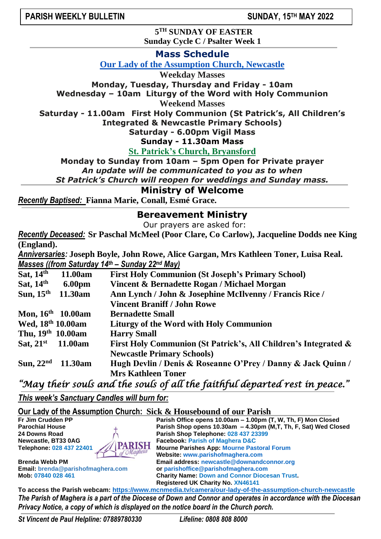**5 TH SUNDAY OF EASTER Sunday Cycle C / Psalter Week 1**

**Mass Schedule**

**Our Lady of the Assumption Church, Newcastle**

**Weekday Masses**

**Monday, Tuesday, Thursday and Friday - 10am Wednesday – 10am Liturgy of the Word with Holy Communion**

**Weekend Masses**

**Saturday - 11.00am First Holy Communion (St Patrick's, All Children's**

**Integrated & Newcastle Primary Schools)**

**Saturday - 6.00pm Vigil Mass**

**Sunday - 11.30am Mass**

**St. Patrick's Church, Bryansford**

**Monday to Sunday from 10am – 5pm Open for Private prayer** *An update will be communicated to you as to when*

*St Patrick's Church will reopen for weddings and Sunday mass.* 

## **Ministry of Welcome**

*Recently Baptised:* **Fianna Marie, Conall, Esmé Grace.**

### **Bereavement Ministry**

Our prayers are asked for:

*Recently Deceased:* **Sr Paschal McMeel (Poor Clare, Co Carlow), Jacqueline Dodds nee King (England).**

*Anniversaries:* **Joseph Boyle, John Rowe, Alice Gargan, Mrs Kathleen Toner, Luisa Real.** *Masses ((from Saturday 14th – Sunday 22nd May)*

| Sat, $14th$<br>11.00am        | <b>First Holy Communion (St Joseph's Primary School)</b>        |
|-------------------------------|-----------------------------------------------------------------|
| Sat, $14th$<br><b>6.00pm</b>  | Vincent & Bernadette Rogan / Michael Morgan                     |
| Sun, $15th$<br>11.30am        | Ann Lynch / John & Josephine McIlvenny / Francis Rice /         |
|                               | <b>Vincent Braniff / John Rowe</b>                              |
| Mon, $16^{th}$ 10.00am        | <b>Bernadette Small</b>                                         |
| Wed, 18th 10.00am             | <b>Liturgy of the Word with Holy Communion</b>                  |
| Thu, 19 <sup>th</sup> 10.00am | <b>Harry Small</b>                                              |
| Sat, $21^{st}$ 11.00am        | First Holy Communion (St Patrick's, All Children's Integrated & |
|                               | <b>Newcastle Primary Schools)</b>                               |
| Sun, $22nd$<br>11.30am        | Hugh Devlin / Denis & Roseanne O'Prey / Danny & Jack Quinn /    |
|                               | <b>Mrs Kathleen Toner</b>                                       |

*"May their souls and the souls of all the faithful departed rest in peace."* 

*This week's Sanctuary Candles will burn for:* 

**Our Lady of the Assumption Church: Sick & Housebound of our Parish**

**Parish Office opens 10.00am – 1.00pm (T, W, Th, F) Mon Closed Parochial House Parish Shop opens 10.30am – 4.30pm (M,T, Th, F, Sat) Wed Closed** Parish Shop Telephone: 028 437 23399 **Newcastle, BT33 0AG**<br> **Telephone: 028 437 22401 ARISH** Mourne Parishes App: Mourne Pas **TARISH** Mourne Parishes App: Mourne Pastoral Forum<br>of Magheta Mobelto: www.parishefmaghers.com **Website: [www.parishofmaghera.com](http://www.parishofmaghera.com/) Brenda Webb PM Email address: [newcastle@downandconnor.org](mailto:newcastle@downandconnor.org) Email: [brenda@parishofmaghera.com](mailto:brenda@parishofmaghera.com) or parishoffice@parishofmaghera.com Mob: 07840 028 461 Charity Name: Down and Connor Diocesan Trust. Registered UK Charity No. XN46141**

**To access the Parish webcam: <https://www.mcnmedia.tv/camera/our-lady-of-the-assumption-church-newcastle>** *The Parish of Maghera is a part of the Diocese of Down and Connor and operates in accordance with the Diocesan Privacy Notice, a copy of which is displayed on the notice board in the Church porch.*

*St Vincent de Paul Helpline: 07889780330 Lifeline: 0808 808 8000*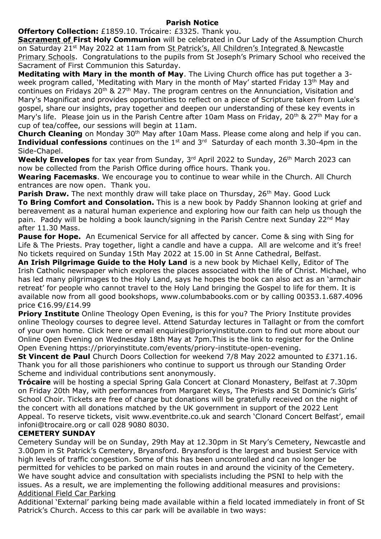### **Parish Notice**

**Offertory Collection:** £1859.10. Trócaire: £3325. Thank you.

**Sacrament of First Holy Communion** will be celebrated in Our Lady of the Assumption Church on Saturday 21<sup>st</sup> May 2022 at 11am from St Patrick's, All Children's Integrated & Newcastle Primary Schools. Congratulations to the pupils from St Joseph's Primary School who received the Sacrament of First Communion this Saturday.

**Meditating with Mary in the month of May**. The Living Church office has put together a 3 week program called, 'Meditating with Mary in the month of May' started Friday 13<sup>th</sup> May and continues on Fridays 20<sup>th</sup> & 27<sup>th</sup> May. The program centres on the Annunciation, Visitation and Mary's Magnificat and provides opportunities to reflect on a piece of Scripture taken from Luke's gospel, share our insights, pray together and deepen our understanding of these key events in Mary's life. Please join us in the Parish Centre after 10am Mass on Friday, 20<sup>th</sup> & 27<sup>th</sup> May for a cup of tea/coffee, our sessions will begin at 11am.

**Church Cleaning** on Monday 30<sup>th</sup> May after 10am Mass. Please come along and help if you can. **Individual confessions** continues on the 1<sup>st</sup> and 3<sup>rd</sup> Saturday of each month 3.30-4pm in the Side-Chapel.

**Weekly Envelopes** for tax year from Sunday, 3<sup>rd</sup> April 2022 to Sunday, 26<sup>th</sup> March 2023 can now be collected from the Parish Office during office hours. Thank you.

**Wearing Facemasks**. We encourage you to continue to wear while in the Church. All Church entrances are now open. Thank you.

**Parish Draw.** The next monthly draw will take place on Thursday, 26<sup>th</sup> May. Good Luck **To Bring Comfort and Consolation.** This is a new book by Paddy Shannon looking at grief and bereavement as a natural human experience and exploring how our faith can help us though the pain. Paddy will be holding a book launch/signing in the Parish Centre next Sunday 22<sup>nd</sup> May after 11.30 Mass.

**Pause for Hope.** An Ecumenical Service for all affected by cancer. Come & sing with Sing for Life & The Priests. Pray together, light a candle and have a cuppa. All are welcome and it's free! No tickets required on Sunday 15th May 2022 at 15.00 in St Anne Cathedral, Belfast.

**An Irish Pilgrimage Guide to the Holy Land** is a new book by Michael Kelly, Editor of The Irish Catholic newspaper which explores the places associated with the life of Christ. Michael, who has led many pilgrimages to the Holy Land, says he hopes the book can also act as an 'armchair retreat' for people who cannot travel to the Holy Land bringing the Gospel to life for them. It is available now from all good bookshops, www.columbabooks.com or by calling 00353.1.687.4096 price €16.99/£14.99

**Priory Institute** Online Theology Open Evening, is this for you? The Priory Institute provides online Theology courses to degree level. Attend Saturday lectures in Tallaght or from the comfort of your own home. Click here or email enquiries@prioryinstitute.com to find out more about our Online Open Evening on Wednesday 18th May at 7pm.This is the link to register for the Online Open Evening [https://prioryinstitute.com/events/priory-institute-open-evening.](https://prioryinstitute.com/events/priory-institute-open-evening)

**St Vincent de Paul** Church Doors Collection for weekend 7/8 May 2022 amounted to £371.16. Thank you for all those parishioners who continue to support us through our Standing Order Scheme and individual contributions sent anonymously.

**Trócaire** will be hosting a special Spring Gala Concert at Clonard Monastery, Belfast at 7.30pm on Friday 20th May, with performances from Margaret Keys, The Priests and St Dominic's Girls' School Choir. Tickets are free of charge but donations will be gratefully received on the night of the concert with all donations matched by the UK government in support of the 2022 Lent Appeal. To reserve tickets, visit www.eventbrite.co.uk and search 'Clonard Concert Belfast', email infoni@trocaire.org or call 028 9080 8030.

## **CEMETERY SUNDAY**

Cemetery Sunday will be on Sunday, 29th May at 12.30pm in St Mary's Cemetery, Newcastle and 3.00pm in St Patrick's Cemetery, Bryansford. Bryansford is the largest and busiest Service with high levels of traffic congestion. Some of this has been uncontrolled and can no longer be permitted for vehicles to be parked on main routes in and around the vicinity of the Cemetery. We have sought advice and consultation with specialists including the PSNI to help with the issues. As a result, we are implementing the following additional measures and provisions: Additional Field Car Parking

Additional 'External' parking being made available within a field located immediately in front of St Patrick's Church. Access to this car park will be available in two ways: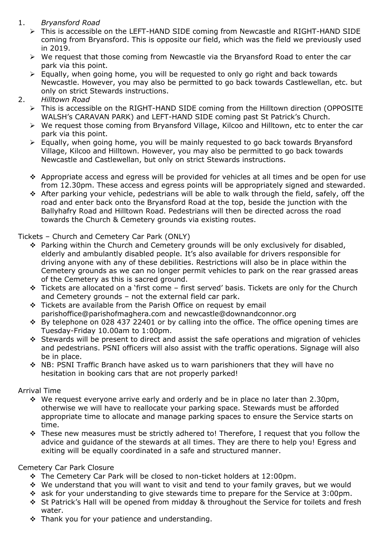# 1. *Bryansford Road*

- ➢ This is accessible on the LEFT-HAND SIDE coming from Newcastle and RIGHT-HAND SIDE coming from Bryansford. This is opposite our field, which was the field we previously used in 2019.
- $\triangleright$  We request that those coming from Newcastle via the Bryansford Road to enter the car park via this point.
- ➢ Equally, when going home, you will be requested to only go right and back towards Newcastle. However, you may also be permitted to go back towards Castlewellan, etc. but only on strict Stewards instructions.
- 2. *Hilltown Road*
	- ➢ This is accessible on the RIGHT-HAND SIDE coming from the Hilltown direction (OPPOSITE WALSH's CARAVAN PARK) and LEFT-HAND SIDE coming past St Patrick's Church.
	- ➢ We request those coming from Bryansford Village, Kilcoo and Hilltown, etc to enter the car park via this point.
	- ➢ Equally, when going home, you will be mainly requested to go back towards Bryansford Village, Kilcoo and Hilltown. However, you may also be permitted to go back towards Newcastle and Castlewellan, but only on strict Stewards instructions.
	- ❖ Appropriate access and egress will be provided for vehicles at all times and be open for use from 12.30pm. These access and egress points will be appropriately signed and stewarded.
	- ❖ After parking your vehicle, pedestrians will be able to walk through the field, safely, off the road and enter back onto the Bryansford Road at the top, beside the junction with the Ballyhafry Road and Hilltown Road. Pedestrians will then be directed across the road towards the Church & Cemetery grounds via existing routes.

## Tickets – Church and Cemetery Car Park (ONLY)

- ❖ Parking within the Church and Cemetery grounds will be only exclusively for disabled, elderly and ambulantly disabled people. It's also available for drivers responsible for driving anyone with any of these debilities. Restrictions will also be in place within the Cemetery grounds as we can no longer permit vehicles to park on the rear grassed areas of the Cemetery as this is sacred ground.
- ❖ Tickets are allocated on a 'first come first served' basis. Tickets are only for the Church and Cemetery grounds – not the external field car park.
- ❖ Tickets are available from the Parish Office on request by email parishoffice@parishofmaghera.com and newcastle@downandconnor.org
- ❖ By telephone on 028 437 22401 or by calling into the office. The office opening times are Tuesday-Friday 10.00am to 1:00pm.
- ❖ Stewards will be present to direct and assist the safe operations and migration of vehicles and pedestrians. PSNI officers will also assist with the traffic operations. Signage will also be in place.
- ❖ NB: PSNI Traffic Branch have asked us to warn parishioners that they will have no hesitation in booking cars that are not properly parked!

## Arrival Time

- ❖ We request everyone arrive early and orderly and be in place no later than 2.30pm, otherwise we will have to reallocate your parking space. Stewards must be afforded appropriate time to allocate and manage parking spaces to ensure the Service starts on time.
- ❖ These new measures must be strictly adhered to! Therefore, I request that you follow the advice and guidance of the stewards at all times. They are there to help you! Egress and exiting will be equally coordinated in a safe and structured manner.

## Cemetery Car Park Closure

- ❖ The Cemetery Car Park will be closed to non-ticket holders at 12:00pm.
- ❖ We understand that you will want to visit and tend to your family graves, but we would
- ❖ ask for your understanding to give stewards time to prepare for the Service at 3:00pm.
- ❖ St Patrick's Hall will be opened from midday & throughout the Service for toilets and fresh water.
- ❖ Thank you for your patience and understanding.